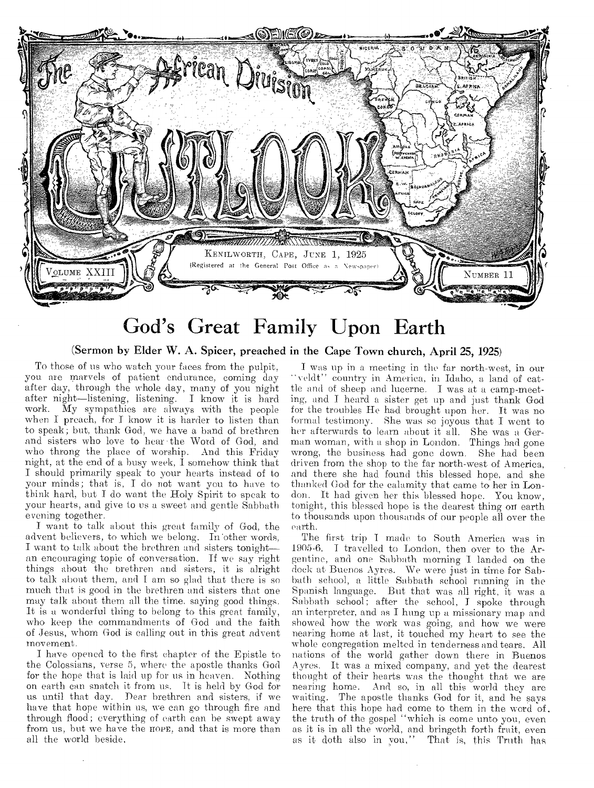

## God's Great Family Upon Earth

(Sermon by Elder W. A. Spicer, preached in the Cape Town church, April 25, 1925)

To those of us who watch your faces from the pulpit, you are marvels of patient endurance, coming day after day, through the whole day, many of you night after night—listening, listening. I know it is hard work. My sympathies are always with the people when I preach, for I know it is harder to listen than to speak; but, thank God, we have a band of brethren and sisters who love **to hear the** Word of God, and who throng the place of worship. And this Friday night, at the end of a busy week, I somehow think that I should primarily speak **to** your hearts instead of to your minds; that is, I do not want you to have to think hard, but I do want the Holy Spirit to speak **to**  your hearts, and give to us a sweet and gentle Sabbath evening together.

I want to talk about this great family of God, the advent believers, to which we **belong.** In'other words, I want to **talk about the brethren** and sisters **tonight an encouraging** topic of conversation. If we say right things about the brethren and sisters, it **is alright**  to talk about them, and **I** am so glad that there is so much that is good in the brethren **and** sisters that one may talk about them all the time, **saying good** things. It is **a** wonderful thing to belong to this great family, who keep the commandments of God and the faith of Jesus, whom God is calling out in this great advent movement.

I have opened **to the** first chapter of the Epistle to the **Colossians, verse 5,** where the apostle thanks God for the hope that **is laid** up for us in heaven. Nothing on earth can snatch it from us. It is held **by** God for us until that day. Dear brethren and sisters, if we have that hope within us, we can go **through** fire and through flood; everything **of earth** can be swept away from us, but we have the noes, and that **is** more than all the world beside,

I was up in a meeting in the far north-west, in our "veldt" country in America, in Idaho, a land of cattle and of **sheep and lucerne. I** was **at a** camp-meeting, **and I heard** a sister get up and **just** thank God **for** the troubles He had **brought** upon her. It was no formal testimony. She was so joyous that I went to her afterwards to learn about it all. She was a German woman, with a shop in London. Things had gone wrong, the business had gone down. She had been driven from the shop to the far north-west of America, and there she had found this blessed hope, and she thanked God for the calamity that came to her in London. It had **given her** this blessed hope. You know, tonight, this blessed hope is the dearest thing on earth to thousands **upon thousands** of our people all over the earth.

The first trip I made to South America was in 1905-6. I travelled to London, then over to the Argentine, and **one** Sabbath morning I landed on the dock at Buenos **Ayres.** We were just in time for Sabbath school, **a little** Sabbath school running in the Spanish **language.** But that was all right, it was a Sabbath **school;** after the school, I spoke through an interpreter, and as I hung **up** a missionary map and showed how the work was going, and how we were nearing **home** at last, it touched my heart to see the whole congregation melted in tenderness and tears. All **nations of the** world gather down there in Buenos Ayres. It was a mixed company, and yet the dearest **thought** of their hearts was the thought that we are nearing home. And **so,** in all this world they are waiting. The apostle thanks God for it, and he savs here that this hope had come to them in the word of. the truth of the **gospel** "which is come unto you, even as it is in all the world, and bringeth forth fruit, even as it cloth also **in you,"** That is, this Truth has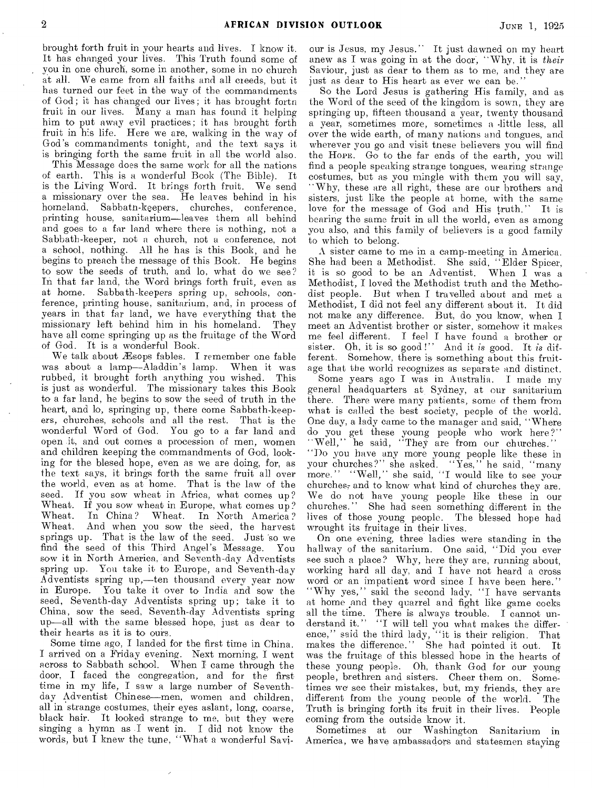brought forth fruit in your hearts and lives. I know it. It has changed your lives. This Truth found some of you in one church, some in another, some in no church at all. We came from all faiths and all creeds, but it has turned our feet in the way of the commandments of God; it has changed our lives; it has brought forth fruit in our lives. Many a man has found it helping him to put away evil practices; it has brought forth fruit in his life. Here we are, walking in the way of God's commandments tonight, and the text says it is bringing forth the same fruit in all the world also.

This Message does the same work for all the nations of earth. This is a wonderful Book (The Bible). It is the Living Word. It brings forth fruit. We send a missionary over the sea. He leaves behind in his homeland, Sahbatn-keepers, churches, conference, printing house, sanitarium—leaves them all behind and goes to a far land where there is nothing, not a Sabbath-keeper, not a church, not a conference, not a school, nothing. All he has is this Book, and he begins to preach the message of this Book. He begins to sow the seeds of truth, and lo. what do we see? In that far land, the Word brings forth fruit, even as at home. Sabbath-keepers spring up, schools, conference, printing house, sanitarium, and, in process of years in that far land, we have everything that the missionary left behind him in his homeland. They have all come springing up as the fruitage of the Word of God. It is a wonderful Book.

We talk about Æsops fables. I remember one fable was about a lamp—Aladdin's lamp. When it was rubbed, it brought forth anything you wished. This is just as wonderful. The missionary takes this Book to a far land, he begins to sow the seed of truth in the heart, and lo, springing up, there come Sabbath-keepers, churches, schools and all the rest. That is the wonderful Word of God. You go to a far land and open it, and out comes a procession of men, women and children keeping the commandments of God, looking for the blesed hope, even as we are doing, for, as the text says, it brings forth the same fruit all over the world, even as at home. That is the law of the seed. If you sow wheat in Africa, what comes up? Wheat. If you sow wheat in Europe, what comes up? Wheat. In China? Wheat. In North America? Wheat. And when you sow the seed, the harvest springs up. That is the law of the seed. Just so we find the seed of this Third Angel's Message. You sow it in North America, and Seventh-day Adventists spring up. You take it to Europe, and Seventh-day Adventists spring up,—ten thousand every year now in Europe. You take it over to India and sow the seed, Seventh-day Adventists spring up; take it to, China, sow the seed, Seventh-day Adventists spring up—all with the same blessed hope, just as dear to their hearts as it is to ours.

Some time ago, I landed for the first time in China. I arrived on a Friday evening. Next morning, I went across to Sabbath school. When I came through the door, I faced the congregation, and for the first time in my life, I saw a large number of Seventhday Adventist Chinese—men, women and children, all in strange costumes, their eyes aslant, long, coarse, black hair. It looked strange to me, but they were singing a hymn as I went in. I did not know the words, but I knew the tune, "What a wonderful Savi-

our is Jesus, my Jesus.'' It just dawned on my heart anew as I was going in at the door, "Why, it is *their*  Saviour, just as dear to them as to me, and they are just as dear to His heart as ever we can be."

So the Lord Jesus is gathering His family, and as the Word of the seed of the kingdom is sown, they are springing up, fifteen thousand a year, twenty thousand a year, sometimes more, sometimes a little less, all over the wide earth, of many nations and tongues, and wherever you go and visit tnese believers you will find the HOPE. Go to the far ends of the earth, you will find a people speaking strange tongues, wearing strange costumes, but as you mingle with them you will say, "Why, these are all right, these are our brothers and sisters, just like the people at home, with the same love for the message of God and His truth." It is bearing the same fruit in all the world, even as among you also, and this family of believers is a good family to which to belong.

A sister came to me in a camp-meeting in America. She had been a Methodist. She said, "Elder Spicer, it is so good to be an Adventist. When I was a Methodist, I loved the Methodist truth and the Methodist people. But when I travelled about and met a Methodist, I did not feel any different about it. It did not make any difference. But, do you know, when I meet an Adventist brother or sister, somehow it makes me feel different. I fee] I have found a brother or sister. Oh, it is so good!" And it *is* good. It *is* different. Somehow, there is something about this fruitage that the world recognizes as separate and distinct.

Some years ago I was in Australia. I made my general headquarters at Sydney, at our sanitarium there. There were many patients, some of them from what is called the best society, people of the world. One day, a lady came to the manager and said, "Where do you get these young people who work here?" "Well," he said, "They are from our churches." "Do you have any more young people like these in your churches?" she asked. "Yes," he said, "many more." "Well," she said, "I would like to see your churches,- and to know what kind of churches they are. We do not have young people like these in our churches." She had seen something different in the lives of those young people. The blessed hope had wrought its fruitage in their lives.

On one evening, three ladies were standing in the hallway of the sanitarium. One said, "Did you ever see such a place? Why, here they are, running about, working hard all day, and I have not heard a cross word or an impatient word since I have been here." "Why yes," said the second lady, "I have servants at home and they quarrel and fight like game cocks all the time. There is always trouble. I cannot understand it." "I will tell you what makes the difference," said the third lady, "it is their religion. That makes the difference." She had pointed it out. It was the fruitage of this blessed hope in the hearts of these young people. Oh, thank God for our young people, brethren and sisters. Cheer them on. Sometimes we *see* their mistakes, but, my friends, they are different from the young people of the world. The Truth is bringing forth its fruit in their lives. People coming from the outside know it.

Sometimes at our Washington Sanitarium in America, we have ambassadors and statesmen staying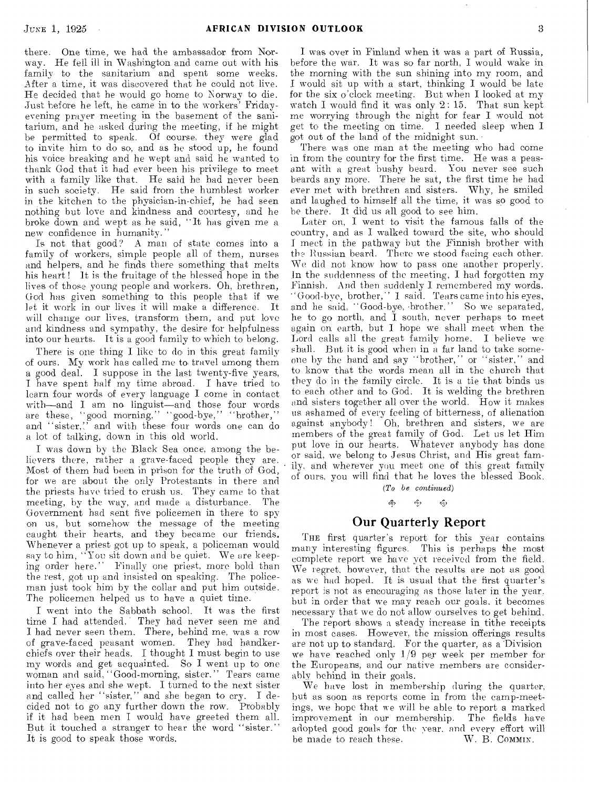there. One time, we had the ambassador from Norway. He fell ill in Washington and came out with his family to the sanitarium and spent some weeks. After a time, it was discovered that he could not live. He decided that he would go home to Norway to die. Just before he left, he came in to the workers' Fridayevening prayer **meeting** in the basement of the sanitarium, and he asked during the meeting, if he might he permitted to speak. Of course, they were glad to invite him to do so, and as he stood up, he found his voice breaking and he wept and said he wanted to thank God that it had ever been his privilege to meet with a family like that. He said he had never been in such society. He said from the humblest worker in the kitchen to the physician-in-chief, he had seen nothing but love and kindness and courtesy, and he broke down and wept as he said, "It has given me a new confidence in humanity."

Is not that good? A man of state comes into **a**  family of workers, simple people all of them, nurses and helpers, and he finds there something that melts his heart! It is the fruitage of the blessed hope in the lives of those young people and workers. **Oh,** brethren, God has given something to this people that if we let it work in our lives it will make a difference. It will change our lives, transform them, and put love and kindness and sympathy, the desire for helpfulness into our hearts. It is a good family to which to belong.

There is one thing I like to do in this great family of ours. My work has called me to travel among them a good deal. I suppose in the last twenty-five years, I have spent half my time abroad. I have tried to learn four words of every language I come in contact with—and I am no linguist—and those four words are these, "good morning,'' "good-bye," "brother," and "sister,:' and with these four words **one** can do a lot of talking, down in this old world.

I was down by the Black Sea once, among the **believers** there, rather a grave-faced people they are. **Most** of them had been in prison for the truth of God, for we are about the only Protestants in there and the priests have tried **to** crush us. They came to that meeting, by the way, and made a disturbance. Government had sent five policemen in there to spy **on us,** but somehow the message of the meeting caught their hearts, and they became our friends. Whenever a **priest** got up to speak, a policeman would say to him, **"You** sit down and be quiet. We are keeping **order here." Finally** one priest, more bold than **the** rest, got up and insisted on speaking. The policeman just took him by the collar and put him outside. The policemen helped us to have a quiet time.

I went into the Sabbath school. It was the first time I had attended. They had never seen me and I had never seen them. There, behind me, was a row of grave-faced peasant women. They had handkerchiefs over their heads. I thought I must begin to use my words and get acquainted. So **I** went up to one woman and said, "Good-morning, sister." Tears came into her eyes **and** she wept. I turned to the next sister and called her "sister," and she began to cry. I decided not to go any further down the row. Probably if it had been men **I** would have greeted them all. But it touched a stranger to hear the word "sister." It is good to speak those words,

I was over in Finland when it was a part of Russia, before the war. It was so far north, I would wake in the morning with the sun shining into my room, and I would sit up with a start, thinking I would be late for the six o'clock meeting. But when I looked at my watch I would find it was only 2: 15. That sun kept me worrying through the night for fear I would not get to the meeting on time. I needed sleep when I got out of the land of the midnight sun.

There was one man at the meeting who had come in from the country for the first time. He was a peasant with a great bushy beard. You never see such beards any more. There he sat, the first time he had ever met with brethren and sisters. Why, he smiled and laughed to himself all the time, it was so good to be there. It did us all good to see him.

Later on, I went to visit the famous falls of the country, and as I walked toward the site, who should I meet in the pathway but the Finnish brother with the Russian beard. There we stood facing each other. We did not know how to pass one another properly. In the suddenness of the meeting, I had forgotten my Finnish. And then suddenly I remembered my words. ' Good-bye, brother,'' I said. Tears came into his eyes, **and he said,** "Good-bye, -brother." So we separated, he to go north, and **I** south, never perhaps to meet again on earth, but I hope we shall meet when the Lord calls all the great family home. I believe we shall. But it is good when in a far land to take someone by the hand and say "brother," or "sister," and **to know** that the words mean all in the church that **they do** in the family circle. It is a tie that binds us to each other and to God. It is welding the brethren **and** sisters together all over the world. How it makes **us** ashamed of **every** feeling of bitterness, of alienation against anybody ! Oh, brethren and sisters, we are members of the great family of God. Let us let Him put love in our hearts. Whatever anybody has done or said, we belong to Jesus Christ, and His great family, and wherever you meet one of this **great family**  of ours, you will find that **he loves** the **blessed Book.** 

*(To be continued)* 

#### d. ન્હુમ  $\mathcal{L}_{\mathcal{O}}$

#### Our Quarterly Report

THE first quarter's report for this year contains many interesting **figures. This is perhaps the** most complete report we have yet received from the field. We regret, however, that the results are not as good as we had hoped. It is **usual that the first** quarter's report is not as encouraging as those later in the year, but in order that we may reach our goals. it becomes necessary that we do not allow ourselves to get behind.

The report shows a **steady** increase in tithe receipts in most cases. However, the mission offerings results are not up to standard. For the quarter, as a Division we have reached only 1/9 per week per member for the Europeans, and our native members are considerably behind in their goals.

We have lost in membership during the quarter, but as soon as reports come in from the camp-meetings, we hope that we will he able to report a marked improvement in our membership. The fields have adopted good goals for the year, and every effort will<br>be made to reach these. W. B. COMMIN. be made to reach these.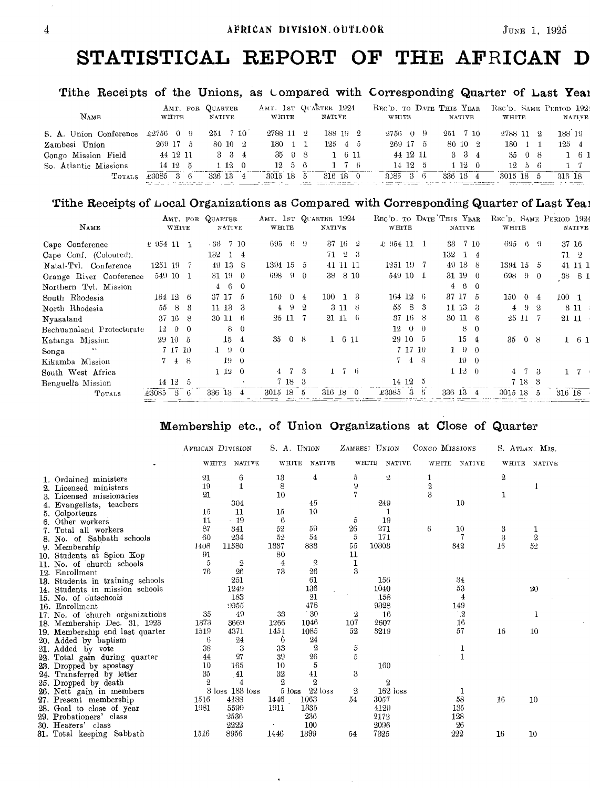### **STATISTICAL REPORT OF THE AFRICAN D**

#### Tithe Receipts of the Unions, as Compared with Corresponding Quarter of Last Year

| NAME                   | AMT. FOR QUARTER<br>WHITE | <b>NATIVE</b>               | WHITE                | AMT. 1ST QUARTER 1924<br>NATIVE | REC'D. TO DATE THIS YEAR<br>WHITE<br><b>NATIVE</b> | REC'D. SAME PERIOD 1924<br>WHITE<br><b>NATIVE</b> |
|------------------------|---------------------------|-----------------------------|----------------------|---------------------------------|----------------------------------------------------|---------------------------------------------------|
| S. A. Union Conference | $\pounds 2756$ 0 9        | $251 \quad 7 \quad 10^{-7}$ | 2788 11 2            | 188 19 2                        | $-2756 - 0 - 9$<br>251 7 10                        | 188 19<br>2788 11 2                               |
| Zambesi Union          | $269$ 17 5                | 80 10 2                     | 180 1 1              | $125 \quad 4 \quad 5$           | $269$ 17 5<br>$80 \; 10 \; 2$                      | 180 1<br>$125 - 4$                                |
| Congo Mission Field    | 44 12 11                  | $3 \quad 3 \quad 4$         | 3508                 | $1 \t6 \t11$                    | 44 12 11<br>$3 \quad 3 \quad 4$                    | 35 0 8<br>$1 \t61$                                |
| So. Atlantic Missions  | 14 12 5                   | $1\,12\,0$                  | $12 \quad 5 \quad 6$ | $1 \t7 \t6$                     | 14 12 5<br>1120                                    | $12 \quad 5 \quad 6$<br>$1 \t7$                   |
| <b>TOTALS</b>          | £3085<br>36               | 326 13 4                    | 3015 18              | 316 18 0<br>- 5                 | 336 13 4<br>$3.35 \quad 3 \quad 6$                 | 3015 18<br>316 18<br>5                            |

#### Tithe Receipts of Local Organizations as Compared with Corresponding Quarter of Last Yea3

| NAME                      |                | WHITE    |            | AMT. FOR QUARTER | NATIVE        |                | AMT. 1ST QUARTER 1924<br>WHITE |          |                       | <b>NATIVE</b> |           |                 | REC'D. TO DATE THIS YEAR<br>WHITE |          |         |                | <b>NATIVE</b> |            | REC'D. SAME PERIOD 1924<br>WHITE |                |            |                  | <b>NATIVE</b>       |
|---------------------------|----------------|----------|------------|------------------|---------------|----------------|--------------------------------|----------|-----------------------|---------------|-----------|-----------------|-----------------------------------|----------|---------|----------------|---------------|------------|----------------------------------|----------------|------------|------------------|---------------------|
| Cape Conference           | $\pm$ 954 11 1 |          |            | - 33             |               | 7 10           | 695                            | - 6      | - 9                   |               |           | $37 \; 16 \; 2$ | € 954 11                          |          |         | -33            |               | 7 10       | 695                              | -6             | -9         | 37 16            |                     |
| Cape Conf. (Coloured).    |                |          |            | 132              |               | 14             |                                |          |                       | 71.           |           | $-2-3$          |                                   |          |         | 132            |               | 1 4        |                                  |                |            | 71 2             |                     |
| Natal-Tvl. Conference     | 1251 19        |          |            |                  | 49 13         | -8             | 1394 15                        |          | -5                    |               | 41 11 11  |                 | $1251$ $19$ $7$                   |          |         | 49 13 8        |               |            | 1394 15                          |                | -5         |                  | 41 11 1             |
| Orange River Conference   |                | 549 10 1 |            |                  | $31 \t19 \t0$ |                | 698                            | -9       | $\Omega$              | 38            |           | 8 10            | 549 10 1                          |          |         | 31 19 0        |               |            | 698                              | $\Omega$       | $\theta$   | .38 <sub>1</sub> | -81                 |
| Northern Tyl. Mission     |                |          |            | $\overline{4}$   | 6             | - 0            |                                |          |                       |               |           |                 |                                   |          |         | $\overline{4}$ |               | $6\quad 0$ |                                  |                |            |                  |                     |
| South Rhodesia            |                | 164 12 6 |            |                  | 37 17         | -5             | 150                            | -0       | 4                     | 100           |           | -13             | $164$ 12 6                        |          |         | 37 17 5        |               |            | 150                              | $\Omega$       | 4          | $100 - 1$        |                     |
| North Rhodesia            | 55             | -8       | -3         |                  | 11 13         | -3             | $\overline{4}$                 | -9       | $\boldsymbol{\Omega}$ |               |           | 3118            | 55                                |          | 8 3     | $11 \t13 \t3$  |               |            |                                  | $4 \quad 9$    | -2         | 311              |                     |
| Nyasaland                 |                | 37 16 8  |            |                  | 30 11 6       |                |                                | 25 11    | -7                    |               |           | 21 11 6         |                                   |          | 37 16 8 | 30 11 6        |               |            |                                  | 25 11          |            | 21 11            |                     |
| Bechuanaland Protectorate | 12             |          | $0\quad 0$ |                  | 8             | $\theta$       |                                |          |                       |               |           |                 | $12-$                             | $\theta$ | - 0     |                | 8             | $\theta$   |                                  |                |            |                  |                     |
| Katanga Mission           |                | 29 10 5  |            |                  | 15 4          |                | 35                             | $\Omega$ | -8                    |               | $1 \t611$ |                 |                                   | 29 10 5  |         |                | $15 \quad 4$  |            | 35                               | $\overline{0}$ | $_{\rm B}$ |                  | $1 \quad 6 \quad 1$ |
| $\cdots$<br>Songa         |                | 7 17 10  |            |                  | $1 \cdot 9$   | -0             |                                |          |                       |               |           |                 |                                   | 7 17 10  |         |                | 190           |            |                                  |                |            |                  |                     |
| Kikamba Mission           |                | 7 4 8    |            |                  | 190           |                |                                |          |                       |               |           |                 |                                   | 7 4 8    |         |                | $19 \quad 0$  |            |                                  |                |            |                  |                     |
| South West Africa         |                |          |            |                  | 1120          |                |                                | 47       | R                     | $\mathbf{1}$  |           | $7-6$           |                                   |          |         |                | 1120          |            |                                  |                | -3         | 17               |                     |
| Benguella Mission         |                | 14 12    | -5         |                  |               |                |                                | 7 18     | -3                    |               |           |                 |                                   | 14 12 5  |         |                |               |            |                                  | 7 18 3         |            |                  |                     |
| TOTALS                    | £3085          | 3        | -6         | 336 13           |               | $\overline{4}$ | 3015 18                        |          | 5                     | 316 18 0      |           |                 | £3085                             | 3        | -6      | 336 13 4       |               |            | 3015 18                          |                | ō          | 316 18           |                     |

#### Membership etc., of Union Organizations at Close of Quarter

|                                  |         | AFRICAN DIVISION |                                    | S. A. UNION      |            | ZAMBESI UNION          | CONGO MISSIONS          |               |                  | S. ATLAN. MIS. |
|----------------------------------|---------|------------------|------------------------------------|------------------|------------|------------------------|-------------------------|---------------|------------------|----------------|
|                                  | WHITE   | NATIVE.          | WHITE                              | <b>NATIVE</b>    |            | WHITE<br><b>NATIVE</b> | WHITE                   | <b>NATIVE</b> | WHITE            | NATIVE         |
| 1. Ordained ministers            | 21      | 6                | 13                                 | 4                | 5          | 2                      | 1                       |               | $\boldsymbol{2}$ |                |
| Licensed ministers               | 19      | 1                | 8                                  |                  | 9          |                        | $\sqrt{2}$              |               |                  |                |
| 3. Licensed missionaries         | $^{21}$ |                  | 10                                 |                  | 7          |                        | $\overline{\mathbf{3}}$ |               | 1                |                |
| 4. Evangelists, teachers         |         | 304              |                                    | 45               |            | 249                    |                         | 10            |                  |                |
| 5. Colporteurs                   | 15      | 11               | 15                                 | 10               |            | 1                      |                         |               |                  |                |
| Other workers                    | 11      | $-19$            | 6                                  |                  | õ          | 19                     |                         |               |                  |                |
| Total all workers                | 87      | 341              | 52                                 | 59               | $^{26}$    | 271                    | 6                       | 10            | 3                |                |
| 8. No. of Sabbath schools        | 60      | 234              | 52                                 | 54               | 5          | 171                    |                         |               | 3                | $\overline{2}$ |
| 9. Membership                    | 1408    | 11580            | 1337                               | 883              | 55         | 10303                  |                         | 342           | 16               | 52             |
| 10. Students at Spion Kop        | 91      |                  | 80                                 |                  | 11         |                        |                         |               |                  |                |
| 11. No. of church schools        | 5       | 2                | 4                                  | 2                | 1          |                        |                         |               |                  |                |
| 12. Enrollment                   | 76      | 26               | 73                                 | 26               | 3          |                        |                         |               |                  |                |
| 13. Students in training schools |         | 251              |                                    | 61               |            | 156                    |                         | 34            |                  |                |
| 14. Students in mission schools  |         | 1249             |                                    | 136              |            | 1040                   |                         | 53            |                  | 20             |
| 15. No. of outschools            |         | 183              |                                    | 21               |            | 158                    |                         | 4             |                  |                |
| 16. Enrollment                   |         | :1955            |                                    | 478              |            | 9328                   |                         | 149           |                  |                |
| 17. No. of church organizations  | 35      | 49               | 33                                 | $^{\circ}30$     | 2          | 16                     |                         | $^{\circ}2$   |                  |                |
| 18. Membership Dec. 31, 1923     | 1373    | 3669             | 1266                               | 1046             | 107        | 2607                   |                         | 16            |                  |                |
| 19. Membership end last quarter  | 1519    | 4371             | 1451                               | 1085             | 52         | 3219                   |                         | 57            | 16               | 10             |
| 20. Added by baptism             | 6       | 24               | 6                                  | 24               |            |                        |                         |               |                  |                |
| 21. Added by vote                | 38      | 3                | 33                                 | $\boldsymbol{2}$ | 5          |                        |                         | 1             |                  |                |
| 22. Total gain during quarter    | 44      | 27               | 39                                 | 26               | $\sqrt{5}$ |                        |                         | $\mathbf{1}$  |                  |                |
| 23. Dropped by apostasy          | 10      | 165              | 10                                 | 5                |            | 160                    |                         |               |                  |                |
| 24. Transferred by letter        | 35      | $\overline{41}$  | 32                                 | 41               | 3          |                        |                         |               |                  |                |
| 25. Dropped by death             | 2       | 4                | $\mathbf{2}$                       | $\mathbf{2}$     |            | 2                      |                         |               |                  |                |
| 26. Nett gain in members         |         | 3 loss 183 loss  | $5\,\ensuremath{\, \mathrm{loss}}$ | $22$ loss        | 2          | $162$ loss             |                         | 1             |                  |                |
| 27. Present membership           | 1516    | 4188             | 1446                               | 1063             | 54         | 3057                   |                         | 58            | 16               | 10             |
| 28. Goal to close of year        | 1981    | 5599             | 1911                               | 1335             |            | 4129                   |                         | 135           |                  |                |
| 29. Probationers' class          |         | 2536             |                                    | 236              |            | 2172                   |                         | 128           |                  |                |
| 30. Hearers' class               |         | 2222             |                                    | 100              |            | 2096                   |                         | 26            |                  |                |
| 31. Total keeping Sabbath        | 1516    | 8956             | 1446                               | 1399             | 54         | 7325                   |                         | 222           | 16               | 10             |

 $\bullet$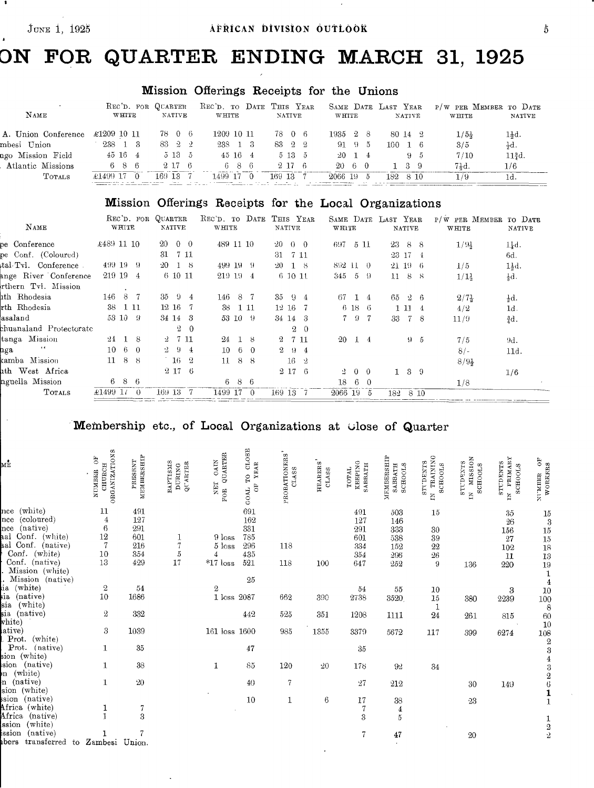$\bar{\gamma}$ 

## **DN FOR QUARTER ENDING MARCH 31, 1925**

### Mission Offerings Receipts for the Unions

| NAME                | REC'D. FOR QUARTER<br>WHITE | <b>NATIVE</b>        | REC'D. TO DATE THIS YEAR<br>WHITE | <b>NATIVE</b> | SAME DATE LAST YEAR<br><b>WHTTE</b> | <b>NATIVE</b>         | P/W PER MEMBER TO DATE<br>NATIVE<br>WHITE |
|---------------------|-----------------------------|----------------------|-----------------------------------|---------------|-------------------------------------|-----------------------|-------------------------------------------|
| A. Union Conference | £1209 10 11                 | 78 0 6               | 1209 10 11                        | 7806          | 1935 28                             | 80 14 2               | $1\frac{1}{2}d.$<br>$1/5\frac{1}{2}$      |
| mbesi Union         | 238 1 3                     | $83 \quad 2 \quad 2$ | 238 1 3                           | 83 2 2        | 91 95                               | $100 \quad 1 \quad 6$ | 3/5<br>ζd.                                |
| ngo Mission Field   | $45\,16\,4$                 | 5135                 | $45 \; 16 \; 4$                   | $513\quad 5$  | $20 \quad 1 \quad 4$                | $9 - 5$               | $113d$ .<br>7/10                          |
| Atlantic Missions   | 686                         | 2.17 6               | 686                               | 2,17,6        | 20 6 0                              | $1 \t3 \t9$           | 71d.<br>1/6                               |
| <b>TOTALS</b>       | $\pm 1499$ 17 0             | 169 13 7             | $1499$ 17 0                       | 169 13 7      | 2066 19<br>5                        | 182 8 10              | 1/9<br>1d.                                |
|                     |                             |                      |                                   |               |                                     |                       |                                           |

### Mission Offerings Receipts for the Local Organizations

| NAME                            | REC'D. FOR QUARTER<br>WHITE | <b>NATIVE</b>                    | REC'D. TO DATE<br>WHITE   | THIS YEAR<br>NATIVE                  | WHITE               | SAME DATE LAST YEAR<br><b>NATIVE</b> | P/W PER MEMBER TO DATE<br>WHITE<br><b>NATIVE</b> |
|---------------------------------|-----------------------------|----------------------------------|---------------------------|--------------------------------------|---------------------|--------------------------------------|--------------------------------------------------|
| pe Conference                   | €489 11 10                  | 20<br>$0 \quad 0$                | 489 11 10                 | -20<br>$\theta$ $\theta$             | 5 11<br>697         | 23<br>-8<br>-8                       | $1/9\frac{1}{2}$<br>$1\frac{1}{4}d.$             |
| pe Conf. (Coloured)             |                             | 31<br>7 11                       |                           | -31 -<br>- 7 11                      |                     | 23 17 4                              | 6d.                                              |
| $\text{total-Tvl.}$ Conference. | 499 19 9                    | $-20$<br>18                      | 499 19<br>-9              | $20 -$<br>-18                        | 892 11 0            | 21, 19<br>- 6                        | 1}d.<br>1/5                                      |
| ange River Conference           | 219 19<br>- 4               | 6 10 11                          | 219 19<br>4               | 61011                                | - 5 -<br>345<br>-9  | 11<br>-8<br>$\beta$                  | $\frac{1}{3}d.$<br>1/13                          |
| rthern Tvl. Mission             |                             |                                  |                           |                                      |                     |                                      |                                                  |
| lth Rhodesia                    | 146<br>8 7                  | 35<br>$\Omega$<br>4 <sup>1</sup> | 146<br>$-8$               | 35<br>-9.<br>-4                      | 67.<br>14           | 65<br>-2<br>-6                       | $2/7\frac{1}{2}$<br>$\frac{1}{2}d$ .             |
| rth Rhodesia                    | 38                          | $12 \t16 \t7$                    | 38<br>-1-11               | $12\,16$                             | $6\,18\,6$          | 111<br>-4                            | 1d.<br>4/2                                       |
| asaland                         | 53 10 9                     | $34 \; 14 \; 3$                  | 53 10 9                   | 34 14 3                              | 79<br>-7            | 33<br>-7<br>-8                       | $rac{3}{4}d$ .<br>11/9                           |
| chuanaland Protectorate         |                             | $^{9}$<br>$\Omega$               |                           | 2<br>$\Omega$                        |                     |                                      |                                                  |
| tanga Mission                   | $24-$<br>- 8                | 7 11<br>-2                       | 24<br>8                   | $^{2}$<br>7 11                       | -20<br>14           | $9 - 5$                              | 7/5<br>9d.                                       |
| 6.6<br>nga                      | 10<br>-6<br>- 0             | $\cdot$ 2<br>-9<br>$-4$          | 10<br>-6<br>$\Omega$      | $^{2}$<br>$\Omega$<br>$\overline{4}$ |                     |                                      | $8/-$<br>11d.                                    |
| kamba Mission                   | 11 8 8                      | -16<br>$-2$                      | -8<br>11<br>8             | $16\,$<br>-2                         |                     |                                      | $8/9\frac{1}{2}$                                 |
| ath West Africa                 |                             | 2 17 6                           |                           | $2\,17$<br>- 6                       | 2.<br>$0\quad 0$    | $1 \quad 3$<br>-9                    | 1/6                                              |
| nguella Mission                 | 686                         |                                  | -8<br>-6<br>-6            |                                      | 18<br>6<br>$\Omega$ |                                      | 1/8                                              |
| TOTALS                          | £1499 17<br>- 0             | 169-13-                          | 1499 17<br>$\overline{0}$ | 169 13                               | 2066 19<br>5        | 8 10<br>182                          |                                                  |
|                                 |                             |                                  |                           |                                      |                     |                                      |                                                  |

Membership etc., of Local Organizations at Glose of Quarter

| мŕ                                  | c,<br>ORGANIZATION<br>F <sub>O</sub><br>CHURCH<br>NUMBER | MEMBERSHIP<br>PRESENT | <b>BAPTISMS</b><br>QUARTER<br>DURING | QUARTER<br>GAIN<br>NET<br>FOR. | CLOSE<br>YEAR<br>L0<br>$\ddot{\rm o}$<br>GOAL | PROBATIONERS'<br>CLASS | HEARERS'<br><b>CLASS</b> | KEEPING<br><b>SABBATH</b><br>$_{\rm TOTAL}$ | MEMBERSHIP<br><b>SCHOOLS</b><br><b>SABBATH</b> | TRAINING<br><b>STIDENTS</b><br><b>SCHOOLS</b><br>ğ | MISSION<br>STUDENTS<br><b>SCHOOLS</b><br>Ě | PRIMARY<br>STUDENTS<br><b>SCHOOLS</b><br>Ă | $\mathbf{g}_\mathrm{O}$<br>WORKERS<br><b>HRIM.IN</b> |
|-------------------------------------|----------------------------------------------------------|-----------------------|--------------------------------------|--------------------------------|-----------------------------------------------|------------------------|--------------------------|---------------------------------------------|------------------------------------------------|----------------------------------------------------|--------------------------------------------|--------------------------------------------|------------------------------------------------------|
| (white)<br>$_{\rm nce}$             | 11                                                       | 491                   |                                      |                                | 691                                           |                        |                          | 491                                         | 503                                            | 15                                                 |                                            | 35                                         |                                                      |
| $_{\rm (coloured)}$<br>$_{\rm nce}$ | $\overline{4}$                                           | 127                   |                                      |                                | 162                                           |                        |                          | 127                                         | 146                                            |                                                    |                                            | 26                                         | $\frac{15}{3}$                                       |
| (native)<br>$_{\rm nce}$            | 6                                                        | 291                   |                                      |                                | 331                                           |                        |                          | 291                                         | 333                                            | 30                                                 |                                            | 156                                        | $15\,$                                               |
| Conf. (white)<br>ıal                | 12                                                       | 601                   | 1                                    | 9 loss                         | 785                                           |                        |                          | 601                                         | 538                                            | 39                                                 |                                            | 27                                         | 15                                                   |
| Conf. (native)<br>ьal               | $\overline{7}$                                           | 216                   | 7                                    | $5$ loss                       | 296                                           | 118                    |                          | 334                                         | 152                                            | 22                                                 |                                            | 102                                        | 18                                                   |
| Conf.<br>$(\text{white})$           | 10                                                       | 354                   | $\tilde{\textit{o}}$                 | 4                              | 435                                           |                        |                          | 354                                         | 296                                            | 26                                                 |                                            | 11                                         | 13                                                   |
| Conf. (native)                      | 13                                                       | 429                   | 17                                   | $^{\ast}17$ loss               | 521                                           | 118                    | 100                      | 647                                         | 252                                            | 9                                                  | 136                                        | 220                                        | $19\,$                                               |
| Mission (white)                     |                                                          |                       |                                      |                                |                                               |                        |                          |                                             |                                                |                                                    |                                            |                                            | $\mathbf{1}$                                         |
| . Mission (native)                  |                                                          |                       |                                      |                                | 25                                            |                        |                          |                                             |                                                |                                                    |                                            |                                            | $\bf{4}$                                             |
| ia (white)                          | $\boldsymbol{2}$                                         | 54                    |                                      | $\overline{2}$                 |                                               |                        |                          | 54                                          | 55                                             | 10                                                 |                                            | 3                                          | 10                                                   |
| sia<br>(native)                     | 10                                                       | 1686                  |                                      | 1 loss                         | 2087                                          | 662                    | 390                      | 2738                                        | 3520                                           | 15                                                 | 380                                        | 2239                                       | 100                                                  |
| sia<br>(white)                      |                                                          |                       |                                      |                                |                                               |                        |                          |                                             |                                                | 1                                                  |                                            |                                            | $\cdot 8$                                            |
| sia<br>(native)                     | 2                                                        | 332                   |                                      |                                | 442                                           | 525                    | 351                      | 1208                                        | 1111                                           | 24                                                 | 261                                        | 815                                        | 60                                                   |
| $\sinh$                             |                                                          |                       |                                      |                                |                                               |                        |                          |                                             |                                                |                                                    |                                            |                                            | 10                                                   |
| $_{\rm active})$                    | 3                                                        | 1039                  |                                      | 161 loss 1600                  |                                               | 985                    | 1355                     | 3379                                        | 5672                                           | 117                                                | 399                                        | 6274                                       |                                                      |
| Prot.<br>(white)                    |                                                          |                       |                                      |                                |                                               |                        |                          |                                             |                                                |                                                    |                                            |                                            | $\frac{108}{2}$                                      |
| Prot.<br>(native)                   | 1                                                        | 35                    |                                      |                                | 47                                            |                        |                          | 35                                          |                                                |                                                    |                                            |                                            | $\rm 3$                                              |
| $\sin$ (white)                      |                                                          |                       |                                      |                                |                                               |                        |                          |                                             |                                                |                                                    |                                            |                                            | $\bf{4}$                                             |
| sion<br>(native)                    |                                                          | 38                    |                                      | 1                              | 85                                            | 120                    | 20                       | 178                                         | 92                                             | 34                                                 |                                            |                                            | $\sqrt{3}$                                           |
| (white)<br>'n.                      |                                                          |                       |                                      |                                |                                               |                        |                          |                                             |                                                |                                                    |                                            |                                            | $\frac{2}{6}$                                        |
| n (native)<br>$\sin$<br>(white)     | 1                                                        | 20                    |                                      |                                | 40                                            | $\overline{7}$         |                          | 27                                          | 212                                            |                                                    | 30                                         | 149                                        |                                                      |
| sion<br>(native)                    |                                                          |                       |                                      |                                |                                               |                        |                          |                                             |                                                |                                                    |                                            |                                            | $\mathbf{1}$                                         |
| Africa (white)                      |                                                          |                       |                                      |                                | 10                                            | 1                      | 6                        | 17                                          | 38                                             |                                                    | 23                                         |                                            | $\mathbf{1}$                                         |
| (native)                            |                                                          | 7<br>3                |                                      |                                |                                               |                        |                          | $\overline{7}$                              | $\overline{4}$                                 |                                                    |                                            |                                            |                                                      |
| Africa<br>ssion<br>(white)          |                                                          |                       |                                      |                                |                                               |                        |                          | 3                                           | $\overline{5}$                                 |                                                    |                                            |                                            | $\frac{1}{2}$                                        |
| (native)<br>ssion                   |                                                          |                       |                                      |                                |                                               |                        |                          |                                             |                                                |                                                    |                                            |                                            |                                                      |
| transferred<br>ibers<br>to          | Zambesi                                                  | Union.                |                                      |                                |                                               |                        |                          | $\overline{7}$                              | 47                                             |                                                    | 20                                         |                                            |                                                      |
|                                     |                                                          |                       |                                      |                                |                                               |                        |                          |                                             |                                                |                                                    |                                            |                                            |                                                      |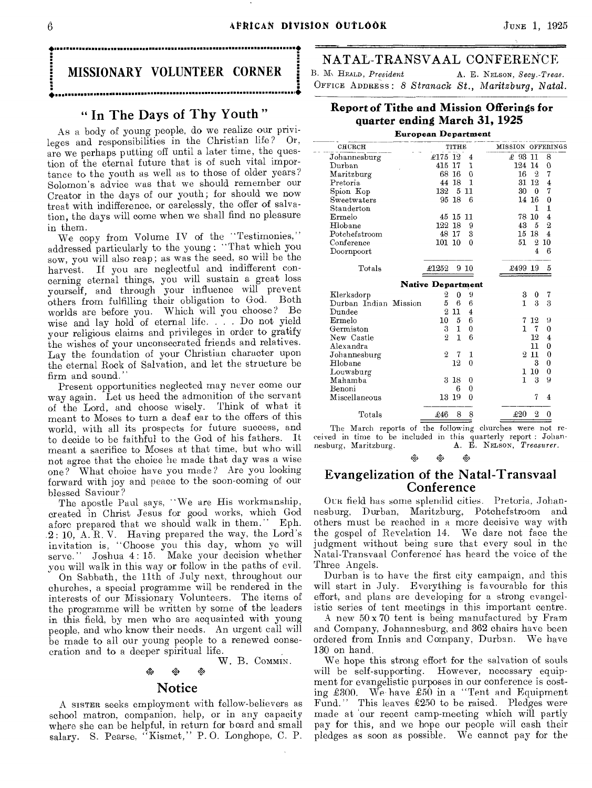#### 6 **APRICAN DIVISION OUTLOOK** JUNE 1, 1925

### MISSIONARY VOLUNTEER CORNER • •

• •

#### " In The Days of Thy Youth "

As a body of young people, do we realize our privileges and responsibilities in the Christian life? Or, are we perhaps putting off until a later time, the question of the eternal future that is of such vital importance to the youth as well as to those of older years? Solomon's advice was that we should remember our Creator in the days of our youth; for should we now treat with indifference, or carelessly, the offer of salvation, the days will come when we shall find no pleasure in them.

We copy from Volume IV of the "Testimonies," addressed particularly to the young : "That which you sow, you will also reap; as was the seed, so will be the harvest. If you are neglectful and indifferent concerning eternal things, you will sustain a great loss yourself, and through your influence will prevent others from fulfilling their obligation to God. Both worlds are before you. Which will you choose? Be wise and lay hold of eternal life. . . . Do not yield your religious claims and privileges in order to gratify the wishes of your unconsecrated friends and relatives. Lay the foundation of your Christian character upon the eternal Rock of Salvation, and let the structure be firm and sound.<sup>'</sup>

Present opportunities neglected may never come our way again. Let us heed the admonition of the servant of the Lord, and choose wisely. Think of what it meant to Moses to turn a deaf ear to the offers of this world, with all its prospects for future success, and to decide to be faithful to the God of his fathers. It meant a sacrifice to Moses at that time, but who will not agree that the choice he made that day was a wise one? What choice have you made? Are you looking forward with joy and peace to the soon-coming of our blessed Saviour ?

The apostle Paul says, "We are His workmanship, created in Christ Jesus for good works, which God afore prepared that we should walk in them." .2 : 10, A. R. V. Having prepared the way, the Lord's invitation is, "Choose you this day, whom ye will serve." Joshua 4:15. Make your decision whether you will walk in this way or follow in the paths of evil.

On Sabbath, the 11th of July next, throughout our churches, a special programme will be rendered in the interests of our Missionary Volunteers. The items of the programme will be written by some of the leaders in this field, by men who are acquainted with young people, and who know their needs. An urgent call will be made to all our young people to a renewed consecration and to a deeper spiritual life.

#### W. B. COMMIN. o`,Z\* 1,4 ova

#### Notice

A SISTER seeks employment with fellow-believers as school matron, companion, help, or in any capacity where she can be helpful, in return for board and small salary. S. Pearse, "Kismet," P.O. Longhope, C. P. NATAL-TRANSVAAL CONFERENCE

B. M. HEALD, *President* **A. E. NELSON**, *Secy.-Treas.* OFFICE ADDRESS : *8* Stranack St., Maritzburg, Natal.

#### **Report of Tithe and Mission Offerings for quarter ending March 31, 1925**

#### **European Department**  CHURCH TITHE MISSION OFFERINGS Johannesburg '175 12 4 £ 93 11 8  $\begin{array}{cc} 415 & 17 & 1 \\ 68 & 16 & 0 \end{array}$ Maritzburg 68 16 0 16 2 7<br>Pretoria 14 18 1 31 12 4 Maritzburg 88 16 0 16 2 7<br>
Pretoria 14 18 1 31 12 4<br>
Spion Kop 132 5 11 30 0 7 Spion Kop 132 5 11 30 0 7 Sweetwaters 95 18 6 14 16 0<br>Standerton 1 1 Standerton 1 1 ельсаветский процесс († 1511 г. и 17810 4.<br>Етнова<br>Новане († 12218 9. 1238 435 2.  $\begin{array}{cccccc} 122 & 18 & 9 & & & 43 & 5 & 2 \\ 48 & 17 & 3 & & & 15 & 18 & 4 \end{array}$ Potchefstroom 48 17 3 15 18 4<br>
Conference 101 10 0 51 2 10 Conference 101 10 0 51 2 10<br>Doornpoort 4 6 Doornpoort Totals £1252 9 10 £499 19 5 **Native Department**  Klerksdorp 2 0 9 3 0 7<br>
Durban Indian Mission 5 6 6 3 1 3 3 Durban Indian Mission<br>Dundee  $\begin{array}{ccc}\n2 & 11 & 4 \\
10 & 5 & 6\n\end{array}$ Ermelo 10 5 6 7 12 9<br>Germiston 3 1 0 1 7 0 Germiston 3 1 0 1 7 0<br>New Castle 2 1 6 12 4 New Castle  $\begin{array}{ccc} 0 & 1 & 0 \\ 2 & 1 & 6 \end{array}$  12 4 Alexandra 11 0 1000 Johannesburg 2 7 1 2 11 2 2 11 2 2 11 10 Hlobane Louwsburg Mahamba Benoni Miscellaneous 3 18  $\begin{array}{ccccc} & 3 & 18 & 0\ & & 6 & 0\ 13 & 19 & 0 \end{array}$ 6 1 10 1 3 7 4  $\theta$ 9 Totals  $\pounds 46$  8 8  $\pounds 20$  2 0

The March reports of the following churches were not received in time to be included in this quarterly report : Johannesburg, Maritzburg. A. E. NELSON, *Treasurer.* 

 $\ddot{\otimes}$ 

#### Evangelization of the Natal-Transvaal Conference

OUR field has some splendid cities. Pretoria, Johannesburg, Durban, Maritzburg, Potchefstroom and others must be reached in a more decisive way with the gospel of Revelation 14. We dare not face the judgment without being sure that every soul in the Natal-Transvaal Conference has heard the voice of the Three Angels.

Durban is to have the first city campaign, and this will start in July. Everything is favourable for this effort, and plans are developing for a strong evangelistic series of tent meetings in this important centre.

A new 50 x 70 tent is being manufactured by Fram and Company, Johannesburg, and 362 chairs have been ordered from Innis and Company, Durban. We have 130 on hand.

We hope this strong effort for the salvation of souls will be self-supporting. However, necessary equipment for evangelistic purposes in our conference is costing £300. We have £50 in a "Tent and Equipment Fund." This leaves £250 to be raised. Pledges were made at 'our recent camp-meeting which will partly pay for this, and we hope our people will cash their pledges as soon as possible. We cannot pay for the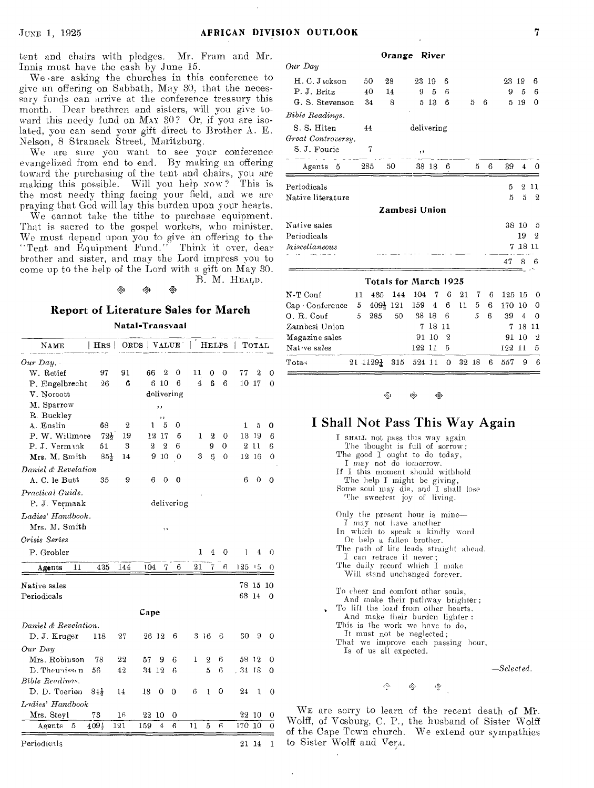tent and chairs with pledges. Mr. Fram and Mr. Innis must have the cash by June 15.

We •are asking the churches in this conference to give an offering on Sabbath, May 30, that the necessary funds can arrive at the conference treasury this month. Dear brethren and sisters, will you give toward this needy fund on MAY 30? Or, if you are isolated, you can send your gift direct to Brother A. E. Nelson, 8 Stranack Street, Maritzburg.

We are sure you want to see your conference evangelized from end to end. By making an offering toward the purchasing of the tent and chairs, you are making this possible. Will you help Now ? This is the most needy thing facing your field, and we are praying that God will lay this burden upon your hearts.

We cannot take the tithe to purchase equipment. That is sacred to the gospel workers, who minister. We must depend upon you to give an offering to the — Tent and Equipment Fund." Think it over, dear brother and sister, and may the Lord impress you to come up to the help of the Lord with a gift on May 30. B. M. HEALD.

ぬ

tla •

#### **Report of Literature Sales for March**  Natal Transvaal

| . |  | . |  |  |
|---|--|---|--|--|
|   |  |   |  |  |
|   |  |   |  |  |

| $_{\rm NAME}$        | HRS             |                | ORDS   VALUE |                |                         |                | $_{\rm HELPS}$ |   |       | Тотаг |          |
|----------------------|-----------------|----------------|--------------|----------------|-------------------------|----------------|----------------|---|-------|-------|----------|
| $Our$ Day.           |                 |                |              |                |                         |                |                |   |       |       |          |
| W. Retief            | 97              | 91             | 66           | 2              | 0                       | 11             | 0              | 0 | 77    | 2     | 0        |
| P. Engelbrecht       | 26              | G              |              | 10<br>6        | 6                       | $\overline{4}$ | 6              | 6 | 10    | 17    | 0        |
| V. Norcott           |                 |                |              |                | delivering              |                |                |   |       |       |          |
| M. Sparrow           |                 |                |              | ,,             |                         |                |                |   |       |       |          |
| R. Buckley           |                 |                |              | ,,             |                         |                |                |   |       |       |          |
| A. Enslin            | 68              | $\overline{2}$ | 1            | 5              | 0                       |                |                |   | 1     | 5     | 0        |
| P. W. Willmore       | $72\frac{1}{2}$ | 19             | 12           | 17             | 6                       | 1              | 2              | 0 | 13    | 19    | 6        |
| P. J. Vermaak        | 51              | 3              | 2            | $\overline{2}$ | 6                       |                | 9              | 0 | 2     | 11    | 6        |
| Mrs. M. Smith        | $85\frac{1}{2}$ | 14             |              | 10<br>9        | $\overline{\mathbf{0}}$ | 3              | G              | 0 | 12    | 16    | 0        |
| Daniel & Revelation  |                 |                |              |                |                         |                |                |   |       |       |          |
| A. C. le Butt        | 35              | 9              | 6            | 0              | 0                       |                |                |   | 6     | 0     | 0        |
| Practical Guide.     |                 |                |              |                |                         |                |                |   |       |       |          |
| P. J. Vermaak        |                 |                |              |                | delivering              |                |                |   |       |       |          |
| Ladies' Handbook.    |                 |                |              |                |                         |                |                |   |       |       |          |
| Mrs. M. Smith        |                 |                |              |                |                         |                |                |   |       |       |          |
| Crisis Series        |                 |                |              | $, \,$         |                         |                |                |   |       |       |          |
|                      |                 |                |              |                |                         |                |                |   |       |       |          |
| P. Grobler           |                 |                |              |                |                         | 1              | 4              | 0 | 1     | 4     | 0        |
| 11<br>Agents         | 435             | 144            | 104          | 7              | 6                       | 21             | 7              | 6 | 125   | 15    | 0        |
| Native sales         |                 |                |              |                |                         |                |                |   |       | 78 15 | -10      |
| Periodicals          |                 |                |              |                |                         |                |                |   | 63 14 |       | $\Omega$ |
|                      |                 |                |              |                |                         |                |                |   |       |       |          |
|                      |                 |                | Cape         |                |                         |                |                |   |       |       |          |
| Daniel & Revelation. |                 |                |              |                |                         |                |                |   |       |       |          |
| D. J. Kruger         | 118             | 27             |              | 26 12          | 6                       |                | 316            | 6 | 30    | 9     | 0        |
| Our Day              |                 |                |              |                |                         |                |                |   |       |       |          |
| Mrs. Robinson        | 78              | 22             | 57           | 9              | 6                       | 1              | $\overline{2}$ | 6 |       | 58 12 | 0        |
| D. Theunissen        | 56              | 42             | 34 12        |                | 6                       |                | 5              | 6 | .3418 |       | 0        |
| Bible Readinas.      |                 |                |              |                |                         |                |                |   |       |       |          |
| D. D. Toerien        | $84\frac{1}{2}$ | $^{14}$        | 18           | 0              | 0                       | 6              | ı              | 0 | 24    | 1     | 0        |
| Ladies' Handbook     |                 |                |              |                |                         |                |                |   |       |       |          |
| Mrs. Steyl           | 73              | 16             | 22           | 10             | 0                       |                |                |   | 22    | 10    | 0        |
|                      | 409}            | 121            | 159          | 4              | 6                       | 11             | 5              | 6 | 170   | 10    | 0        |
| Agents<br>5          |                 |                |              |                |                         |                |                |   |       |       |          |
| Periodicals          |                 |                |              |                |                         |                |                |   | 21    | 14    | 1        |

|     | Orange |     | River |                        |                             |   |    |    |                                   |
|-----|--------|-----|-------|------------------------|-----------------------------|---|----|----|-----------------------------------|
|     |        |     |       |                        |                             |   |    |    |                                   |
| 50  | 28     |     |       | В                      |                             |   |    |    | 6                                 |
| 40  | 14     | 9   | 5     | 6                      |                             |   | 9  | 5  | 6                                 |
| 34  | Я      |     |       | 6                      | 5                           | 6 | 5  | 19 | $\Omega$                          |
|     |        |     |       |                        |                             |   |    |    |                                   |
| 44  |        |     |       |                        |                             |   |    |    |                                   |
|     |        |     |       |                        |                             |   |    |    |                                   |
| 7   |        | , , |       |                        |                             |   |    |    |                                   |
| 285 | 50     |     |       | 6                      | 5                           | 6 | 39 | 4  | ∩                                 |
|     |        |     |       |                        |                             |   | 5  | 9. | 11                                |
|     |        |     |       |                        |                             |   | 5  | 5  | 9.                                |
|     |        |     |       |                        |                             |   |    |    |                                   |
|     |        |     |       |                        |                             |   |    |    | 5                                 |
|     |        |     |       |                        |                             |   |    | 19 | $\overline{2}$                    |
|     |        |     |       |                        |                             |   |    |    |                                   |
|     |        |     |       |                        |                             |   | 47 | 8  | ĥ                                 |
|     |        |     |       | 23 19<br>5 13<br>38 18 | delivering<br>Zambesi Union |   |    |    | 23 19<br>38.<br>-10<br>18 11<br>7 |

|                                                               |  |          |         |  |  | $21 \t1129\frac{1}{4}$ 315 524 11 0 32 18 6 557 9 6 |  |
|---------------------------------------------------------------|--|----------|---------|--|--|-----------------------------------------------------|--|
| Nature sales                                                  |  | 122 11 5 |         |  |  | 122 11 5                                            |  |
| Magazine sales                                                |  | 91 10 2  |         |  |  | 91 10 2                                             |  |
| Zambesi Union                                                 |  |          | 7 18 11 |  |  | 7 18 11                                             |  |
| $O. R. Cont$ 5 285 50 38 18 6 5 6 39 4 0                      |  |          |         |  |  |                                                     |  |
| Cap Conference 5 $409\frac{1}{2}$ 121 159 4 6 11 5 6 170 10 0 |  |          |         |  |  |                                                     |  |
| $N-T$ Conf 11 435 144 104 7 6 21 7 6 125 15 0                 |  |          |         |  |  |                                                     |  |

eS) 嗨 嘧

#### I Shall Not Pass This Way Again

I SHALL not pass this way again The thought is full of sorrow; The good  $I$  ought to do today, I *may* not do tomorrow. If I this moment should withhold The help I might be giving, Some soul may die, and I shall lose The sweetest joy of living. Only the present hour is mine— *I* may not have another In which to speak a kindly word Or help a fallen brother. The rath of life leads straight ahead. I can retrace it never; The daily record which I make Will stand unchanged forever. To cheer and comfort other souls, And make their pathway brighter; To lift the load from other hearts. And make their burden lighter : This is the work we have to do, It must not be neglected; That we improve each passing hour, Is of us all expected.

*—Selected.* 

 $\delta^Q_{\Delta^2}$ 嘐

 $\mathcal{O}$ 

WE are sorry to learn of the recent death of Mr. Wolff, of Vosburg, C. P., the husband of Sister Wolff of the Cape Town church. We extend our sympathies to Sister Wolff and Vera.